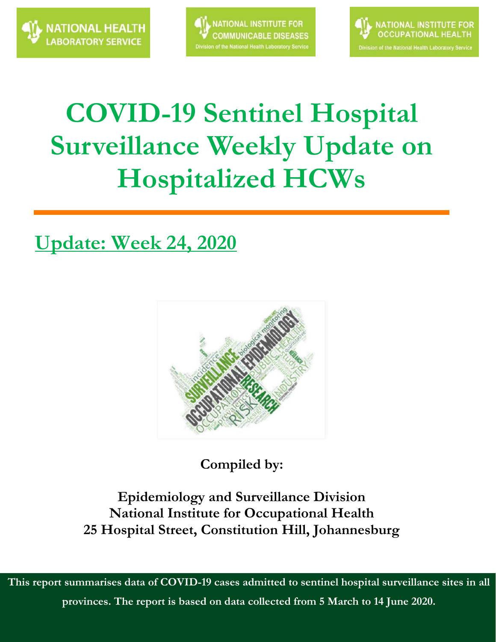



# **COVID-19 Sentinel Hospital Surveillance Weekly Update on Hospitalized HCWs**

### **Update: Week 24, 2020**



**Compiled by:**

**Epidemiology and Surveillance Division National Institute for Occupational Health 25 Hospital Street, Constitution Hill, Johannesburg**

**This report summarises data of COVID-19 cases admitted to sentinel hospital surveillance sites in all provinces. The report is based on data collected from 5 March to 14 June 2020.**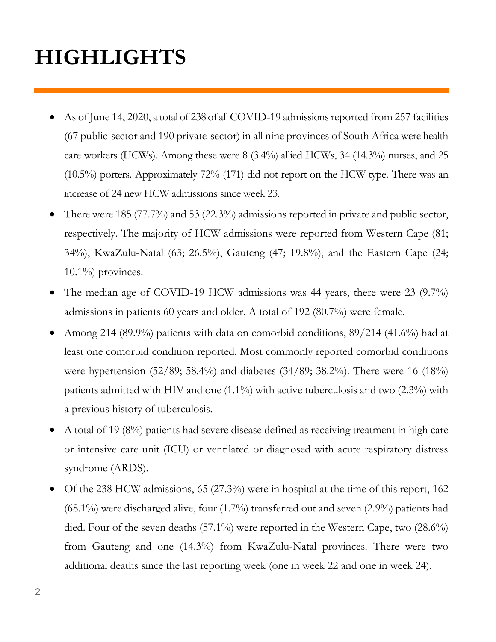## **HIGHLIGHTS**

- As of June 14, 2020, a total of 238 of all COVID-19 admissions reported from 257 facilities (67 public-sector and 190 private-sector) in all nine provinces of South Africa were health care workers (HCWs). Among these were 8 (3.4%) allied HCWs, 34 (14.3%) nurses, and 25 (10.5%) porters. Approximately 72% (171) did not report on the HCW type. There was an increase of 24 new HCW admissions since week 23.
- There were 185 (77.7%) and 53 (22.3%) admissions reported in private and public sector, respectively. The majority of HCW admissions were reported from Western Cape (81; 34%), KwaZulu-Natal (63; 26.5%), Gauteng (47; 19.8%), and the Eastern Cape (24;  $10.1\%$  provinces.
- The median age of COVID-19 HCW admissions was 44 years, there were 23 (9.7%) admissions in patients 60 years and older. A total of 192 (80.7%) were female.
- Among 214 (89.9%) patients with data on comorbid conditions,  $89/214$  (41.6%) had at least one comorbid condition reported. Most commonly reported comorbid conditions were hypertension (52/89; 58.4%) and diabetes (34/89; 38.2%). There were 16 (18%) patients admitted with HIV and one (1.1%) with active tuberculosis and two (2.3%) with a previous history of tuberculosis.
- A total of 19 (8%) patients had severe disease defined as receiving treatment in high care or intensive care unit (ICU) or ventilated or diagnosed with acute respiratory distress syndrome (ARDS).
- Of the 238 HCW admissions, 65 (27.3%) were in hospital at the time of this report, 162 (68.1%) were discharged alive, four (1.7%) transferred out and seven (2.9%) patients had died. Four of the seven deaths (57.1%) were reported in the Western Cape, two (28.6%) from Gauteng and one (14.3%) from KwaZulu-Natal provinces. There were two additional deaths since the last reporting week (one in week 22 and one in week 24).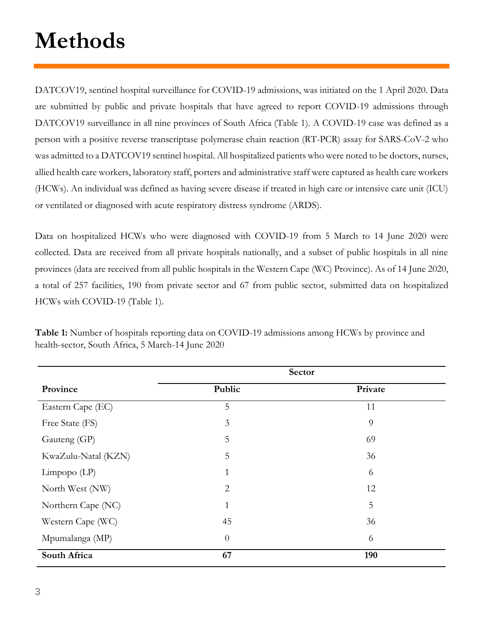# **Methods**

DATCOV19, sentinel hospital surveillance for COVID-19 admissions, was initiated on the 1 April 2020. Data are submitted by public and private hospitals that have agreed to report COVID-19 admissions through DATCOV19 surveillance in all nine provinces of South Africa (Table 1). A COVID-19 case was defined as a person with a positive reverse transcriptase polymerase chain reaction (RT-PCR) assay for SARS-CoV-2 who was admitted to a DATCOV19 sentinel hospital. All hospitalized patients who were noted to be doctors, nurses, allied health care workers, laboratory staff, porters and administrative staff were captured as health care workers (HCWs). An individual was defined as having severe disease if treated in high care or intensive care unit (ICU) or ventilated or diagnosed with acute respiratory distress syndrome (ARDS).

Data on hospitalized HCWs who were diagnosed with COVID-19 from 5 March to 14 June 2020 were collected. Data are received from all private hospitals nationally, and a subset of public hospitals in all nine provinces (data are received from all public hospitals in the Western Cape (WC) Province). As of 14 June 2020, a total of 257 facilities, 190 from private sector and 67 from public sector, submitted data on hospitalized HCWs with COVID-19 (Table 1).

|                     | Sector         |         |  |  |
|---------------------|----------------|---------|--|--|
| Province            | Public         | Private |  |  |
| Eastern Cape (EC)   | 5              | 11      |  |  |
| Free State (FS)     | 3              | 9       |  |  |
| Gauteng (GP)        | 5              | 69      |  |  |
| KwaZulu-Natal (KZN) | 5              | 36      |  |  |
| $Limpopo$ $(LP)$    | 1              | 6       |  |  |
| North West (NW)     | $\overline{2}$ | 12      |  |  |
| Northern Cape (NC)  | $\mathbf{1}$   | 5       |  |  |
| Western Cape (WC)   | 45             | 36      |  |  |
| Mpumalanga (MP)     | $\theta$       | 6       |  |  |
| South Africa        | 67             | 190     |  |  |

**Table 1:** Number of hospitals reporting data on COVID-19 admissions among HCWs by province and health-sector, South Africa, 5 March-14 June 2020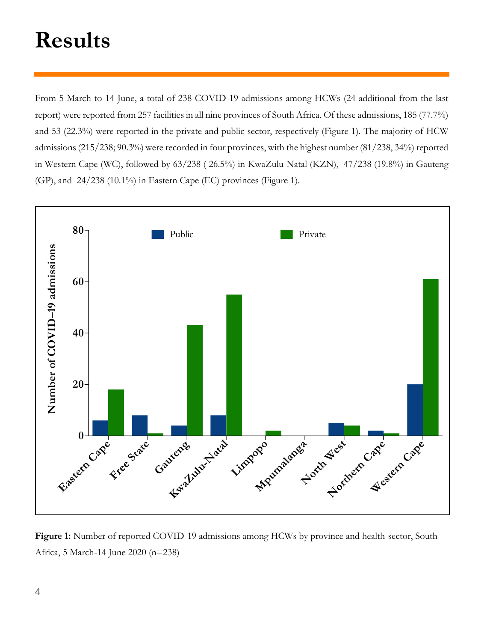# **Results**

From 5 March to 14 June, a total of 238 COVID-19 admissions among HCWs (24 additional from the last report) were reported from 257 facilities in all nine provinces of South Africa. Of these admissions, 185 (77.7%) and 53 (22.3%) were reported in the private and public sector, respectively (Figure 1). The majority of HCW admissions (215/238; 90.3%) were recorded in four provinces, with the highest number (81/238, 34%) reported in Western Cape (WC), followed by 63/238 ( 26.5%) in KwaZulu-Natal (KZN), 47/238 (19.8%) in Gauteng (GP), and 24/238 (10.1%) in Eastern Cape (EC) provinces (Figure 1).



**Figure 1:** Number of reported COVID-19 admissions among HCWs by province and health-sector, South Africa, 5 March-14 June 2020 (n=238)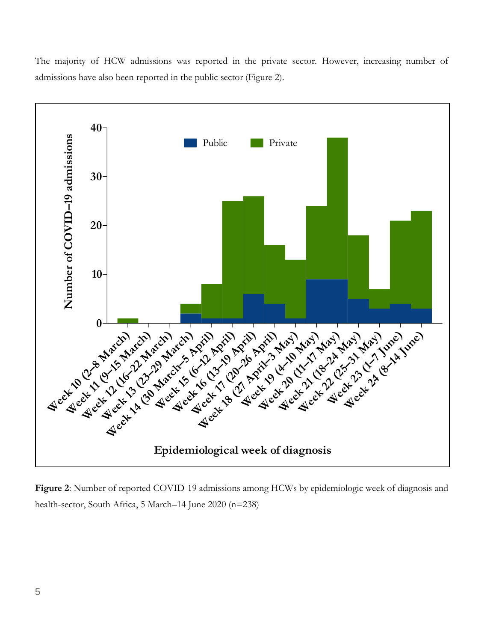The majority of HCW admissions was reported in the private sector. However, increasing number of admissions have also been reported in the public sector (Figure 2).



**Figure 2**: Number of reported COVID-19 admissions among HCWs by epidemiologic week of diagnosis and health-sector, South Africa, 5 March–14 June 2020 (n=238)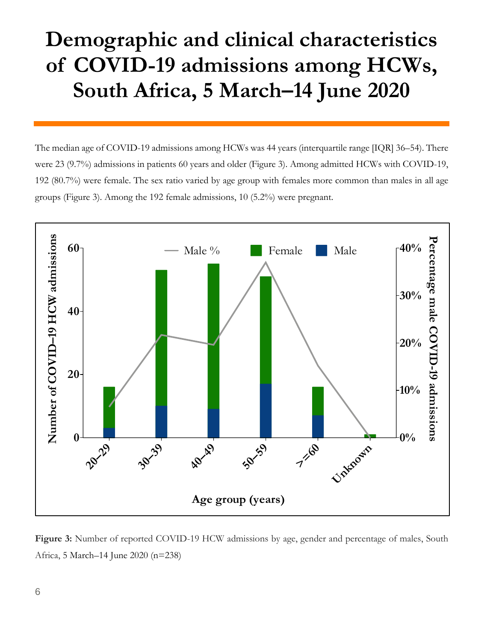### **Demographic and clinical characteristics of COVID-19 admissions among HCWs, South Africa, 5 March–14 June 2020**

The median age of COVID-19 admissions among HCWs was 44 years (interquartile range [IQR] 36–54). There were 23 (9.7%) admissions in patients 60 years and older (Figure 3). Among admitted HCWs with COVID-19, 192 (80.7%) were female. The sex ratio varied by age group with females more common than males in all age groups (Figure 3). Among the 192 female admissions, 10 (5.2%) were pregnant.



**Figure 3:** Number of reported COVID-19 HCW admissions by age, gender and percentage of males, South Africa, 5 March–14 June 2020 (n=238)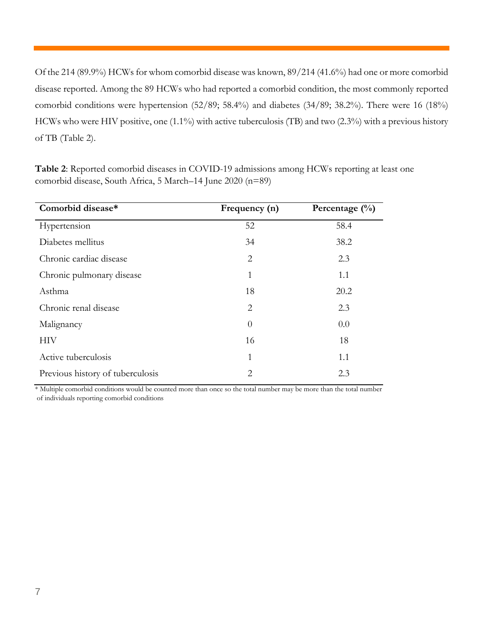Of the 214 (89.9%) HCWs for whom comorbid disease was known, 89/214 (41.6%) had one or more comorbid disease reported. Among the 89 HCWs who had reported a comorbid condition, the most commonly reported comorbid conditions were hypertension (52/89; 58.4%) and diabetes (34/89; 38.2%). There were 16 (18%) HCWs who were HIV positive, one (1.1%) with active tuberculosis (TB) and two (2.3%) with a previous history of TB (Table 2).

| Comorbid disease*                | Frequency (n)  | Percentage $(\%)$ |
|----------------------------------|----------------|-------------------|
| Hypertension                     | 52             | 58.4              |
| Diabetes mellitus                | 34             | 38.2              |
| Chronic cardiac disease          | 2              | 2.3               |
| Chronic pulmonary disease        | 1              | 1.1               |
| Asthma                           | 18             | 20.2              |
| Chronic renal disease            | $\overline{2}$ | 2.3               |
| Malignancy                       | $\theta$       | 0.0               |
| HIV                              | 16             | 18                |
| Active tuberculosis              | 1              | 1.1               |
| Previous history of tuberculosis | 2              | 2.3               |

**Table 2**: Reported comorbid diseases in COVID-19 admissions among HCWs reporting at least one comorbid disease, South Africa, 5 March–14 June 2020 (n=89)

\* Multiple comorbid conditions would be counted more than once so the total number may be more than the total number of individuals reporting comorbid conditions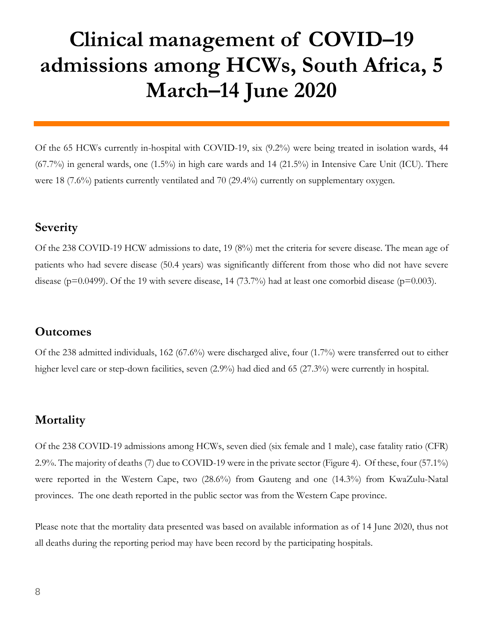### **Clinical management of COVID–19 admissions among HCWs, South Africa, 5 March–14 June 2020**

Of the 65 HCWs currently in-hospital with COVID-19, six (9.2%) were being treated in isolation wards, 44 (67.7%) in general wards, one (1.5%) in high care wards and 14 (21.5%) in Intensive Care Unit (ICU). There were 18 (7.6%) patients currently ventilated and 70 (29.4%) currently on supplementary oxygen.

#### **Severity**

Of the 238 COVID-19 HCW admissions to date, 19 (8%) met the criteria for severe disease. The mean age of patients who had severe disease (50.4 years) was significantly different from those who did not have severe disease ( $p=0.0499$ ). Of the 19 with severe disease, 14 (73.7%) had at least one comorbid disease ( $p=0.003$ ).

#### **Outcomes**

Of the 238 admitted individuals, 162 (67.6%) were discharged alive, four (1.7%) were transferred out to either higher level care or step-down facilities, seven (2.9%) had died and 65 (27.3%) were currently in hospital.

#### **Mortality**

Of the 238 COVID-19 admissions among HCWs, seven died (six female and 1 male), case fatality ratio (CFR) 2.9%. The majority of deaths (7) due to COVID-19 were in the private sector (Figure 4). Of these, four (57.1%) were reported in the Western Cape, two (28.6%) from Gauteng and one (14.3%) from KwaZulu-Natal provinces. The one death reported in the public sector was from the Western Cape province.

Please note that the mortality data presented was based on available information as of 14 June 2020, thus not all deaths during the reporting period may have been record by the participating hospitals.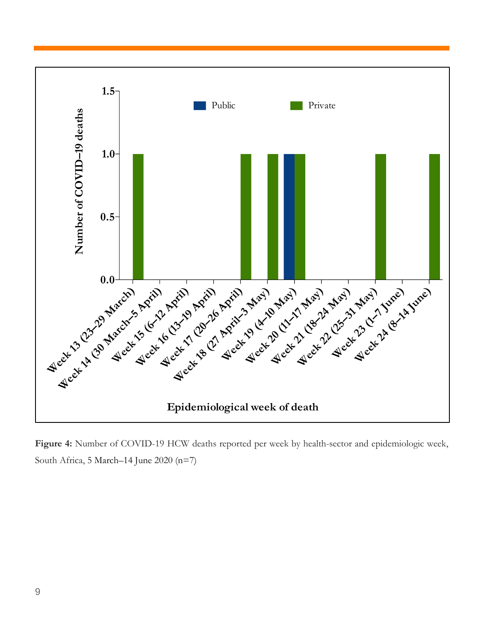

**Figure 4:** Number of COVID-19 HCW deaths reported per week by health-sector and epidemiologic week, South Africa, 5 March–14 June 2020 (n=7)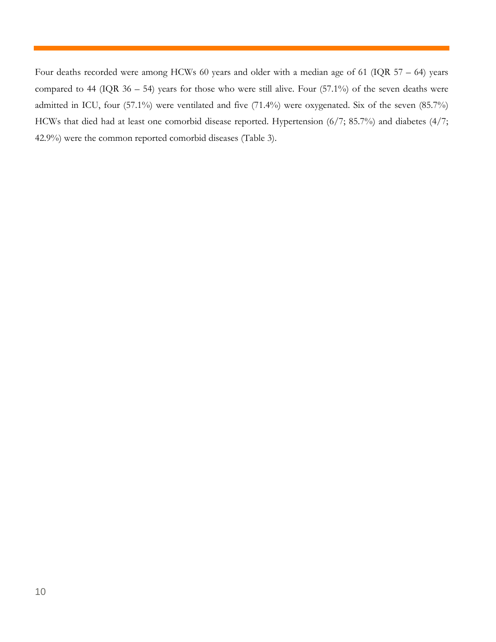Four deaths recorded were among HCWs 60 years and older with a median age of 61 (IQR 57 – 64) years compared to 44 (IQR  $36 - 54$ ) years for those who were still alive. Four (57.1%) of the seven deaths were admitted in ICU, four (57.1%) were ventilated and five (71.4%) were oxygenated. Six of the seven (85.7%) HCWs that died had at least one comorbid disease reported. Hypertension (6/7; 85.7%) and diabetes (4/7; 42.9%) were the common reported comorbid diseases (Table 3).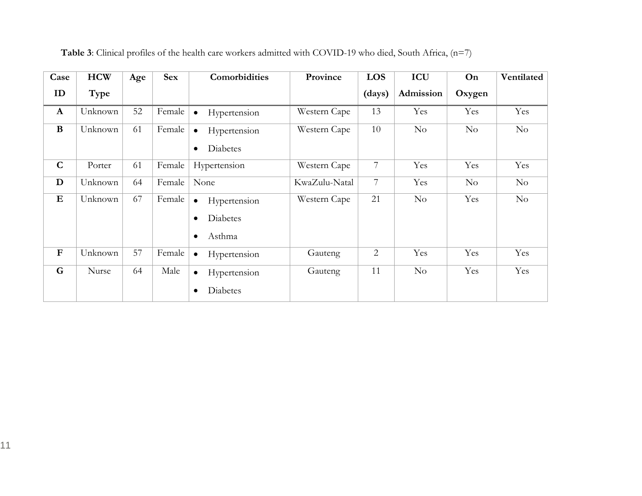| Case         | <b>HCW</b> | Age | <b>Sex</b> | Comorbidities                                                                    | Province      | LOS            | ICU       | On     | Ventilated |
|--------------|------------|-----|------------|----------------------------------------------------------------------------------|---------------|----------------|-----------|--------|------------|
| ID           | Type       |     |            |                                                                                  |               | (days)         | Admission | Oxygen |            |
| $\mathbf{A}$ | Unknown    | 52  | Female     | Hypertension                                                                     | Western Cape  | 13             | Yes       | Yes    | Yes        |
| $\bf{B}$     | Unknown    | 61  | Female     | Hypertension<br>$\bullet$<br><b>Diabetes</b><br>$\bullet$                        | Western Cape  | 10             | $\rm No$  | No     | $\rm No$   |
| $\mathbf C$  | Porter     | 61  | Female     | Hypertension                                                                     | Western Cape  | 7              | Yes       | Yes    | Yes        |
| D            | Unknown    | 64  | Female     | None                                                                             | KwaZulu-Natal | $\overline{7}$ | Yes       | No     | $\rm No$   |
| $\bf{E}$     | Unknown    | 67  | Female     | Hypertension<br>$\bullet$<br><b>Diabetes</b><br>$\bullet$<br>Asthma<br>$\bullet$ | Western Cape  | 21             | $\rm No$  | Yes    | $\rm No$   |
| ${\bf F}$    | Unknown    | 57  | Female     | Hypertension<br>$\bullet$                                                        | Gauteng       | $\overline{2}$ | Yes       | Yes    | Yes        |
| G            | Nurse      | 64  | Male       | Hypertension<br>$\bullet$<br><b>Diabetes</b><br>$\bullet$                        | Gauteng       | 11             | $\rm No$  | Yes    | Yes        |

**Table 3**: Clinical profiles of the health care workers admitted with COVID-19 who died, South Africa, (n=7)